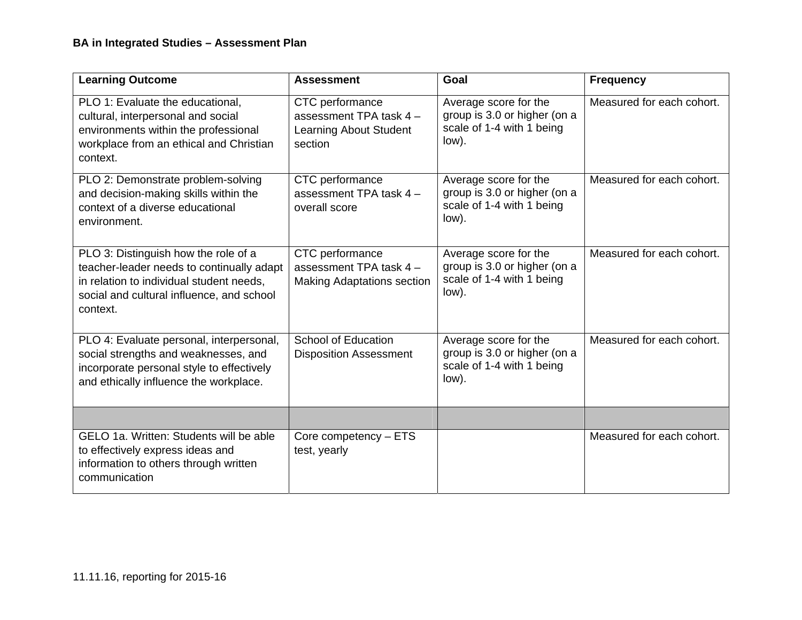| <b>Learning Outcome</b>                                                                                                                                                                | <b>Assessment</b>                                                               | Goal                                                                                        | <b>Frequency</b>          |
|----------------------------------------------------------------------------------------------------------------------------------------------------------------------------------------|---------------------------------------------------------------------------------|---------------------------------------------------------------------------------------------|---------------------------|
| PLO 1: Evaluate the educational,<br>cultural, interpersonal and social<br>environments within the professional<br>workplace from an ethical and Christian<br>context.                  | CTC performance<br>assessment TPA task 4 -<br>Learning About Student<br>section | Average score for the<br>group is 3.0 or higher (on a<br>scale of 1-4 with 1 being<br>low). | Measured for each cohort. |
| PLO 2: Demonstrate problem-solving<br>and decision-making skills within the<br>context of a diverse educational<br>environment.                                                        | CTC performance<br>assessment TPA task 4 -<br>overall score                     | Average score for the<br>group is 3.0 or higher (on a<br>scale of 1-4 with 1 being<br>low). | Measured for each cohort. |
| PLO 3: Distinguish how the role of a<br>teacher-leader needs to continually adapt<br>in relation to individual student needs,<br>social and cultural influence, and school<br>context. | CTC performance<br>assessment TPA task 4 -<br><b>Making Adaptations section</b> | Average score for the<br>group is 3.0 or higher (on a<br>scale of 1-4 with 1 being<br>low). | Measured for each cohort. |
| PLO 4: Evaluate personal, interpersonal,<br>social strengths and weaknesses, and<br>incorporate personal style to effectively<br>and ethically influence the workplace.                | <b>School of Education</b><br><b>Disposition Assessment</b>                     | Average score for the<br>group is 3.0 or higher (on a<br>scale of 1-4 with 1 being<br>low). | Measured for each cohort. |
|                                                                                                                                                                                        |                                                                                 |                                                                                             |                           |
| GELO 1a. Written: Students will be able<br>to effectively express ideas and<br>information to others through written<br>communication                                                  | Core competency - ETS<br>test, yearly                                           |                                                                                             | Measured for each cohort. |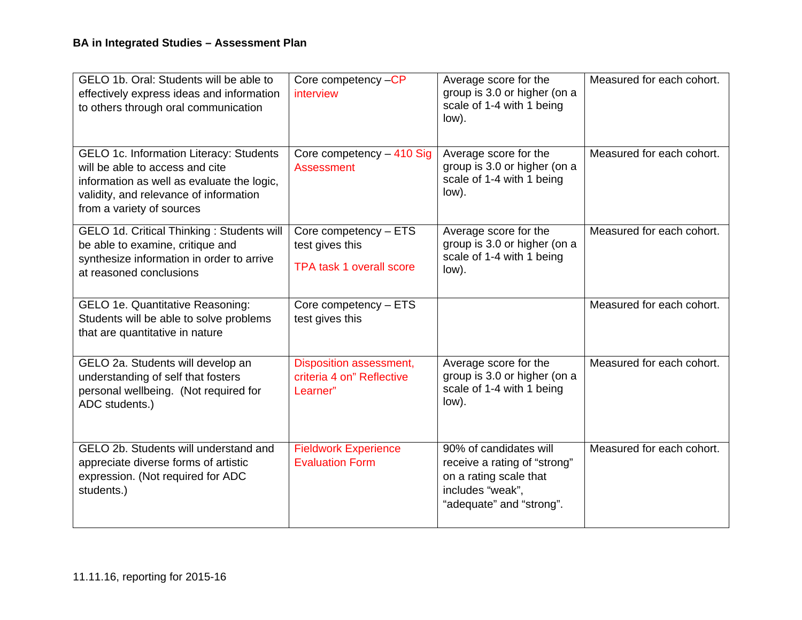| GELO 1b. Oral: Students will be able to<br>effectively express ideas and information<br>to others through oral communication                                                                    | Core competency -CP<br>interview                                            | Average score for the<br>group is 3.0 or higher (on a<br>scale of 1-4 with 1 being<br>low).                                      | Measured for each cohort. |
|-------------------------------------------------------------------------------------------------------------------------------------------------------------------------------------------------|-----------------------------------------------------------------------------|----------------------------------------------------------------------------------------------------------------------------------|---------------------------|
| GELO 1c. Information Literacy: Students<br>will be able to access and cite<br>information as well as evaluate the logic,<br>validity, and relevance of information<br>from a variety of sources | Core competency - 410 Sig<br><b>Assessment</b>                              | Average score for the<br>group is 3.0 or higher (on a<br>scale of 1-4 with 1 being<br>low).                                      | Measured for each cohort. |
| GELO 1d. Critical Thinking: Students will<br>be able to examine, critique and<br>synthesize information in order to arrive<br>at reasoned conclusions                                           | Core competency - ETS<br>test gives this<br><b>TPA task 1 overall score</b> | Average score for the<br>group is 3.0 or higher (on a<br>scale of 1-4 with 1 being<br>low).                                      | Measured for each cohort. |
| GELO 1e. Quantitative Reasoning:<br>Students will be able to solve problems<br>that are quantitative in nature                                                                                  | Core competency - ETS<br>test gives this                                    |                                                                                                                                  | Measured for each cohort. |
| GELO 2a. Students will develop an<br>understanding of self that fosters<br>personal wellbeing. (Not required for<br>ADC students.)                                                              | <b>Disposition assessment,</b><br>criteria 4 on" Reflective<br>Learner"     | Average score for the<br>group is 3.0 or higher (on a<br>scale of 1-4 with 1 being<br>low).                                      | Measured for each cohort. |
| GELO 2b. Students will understand and<br>appreciate diverse forms of artistic<br>expression. (Not required for ADC<br>students.)                                                                | <b>Fieldwork Experience</b><br><b>Evaluation Form</b>                       | 90% of candidates will<br>receive a rating of "strong"<br>on a rating scale that<br>includes "weak",<br>"adequate" and "strong". | Measured for each cohort. |